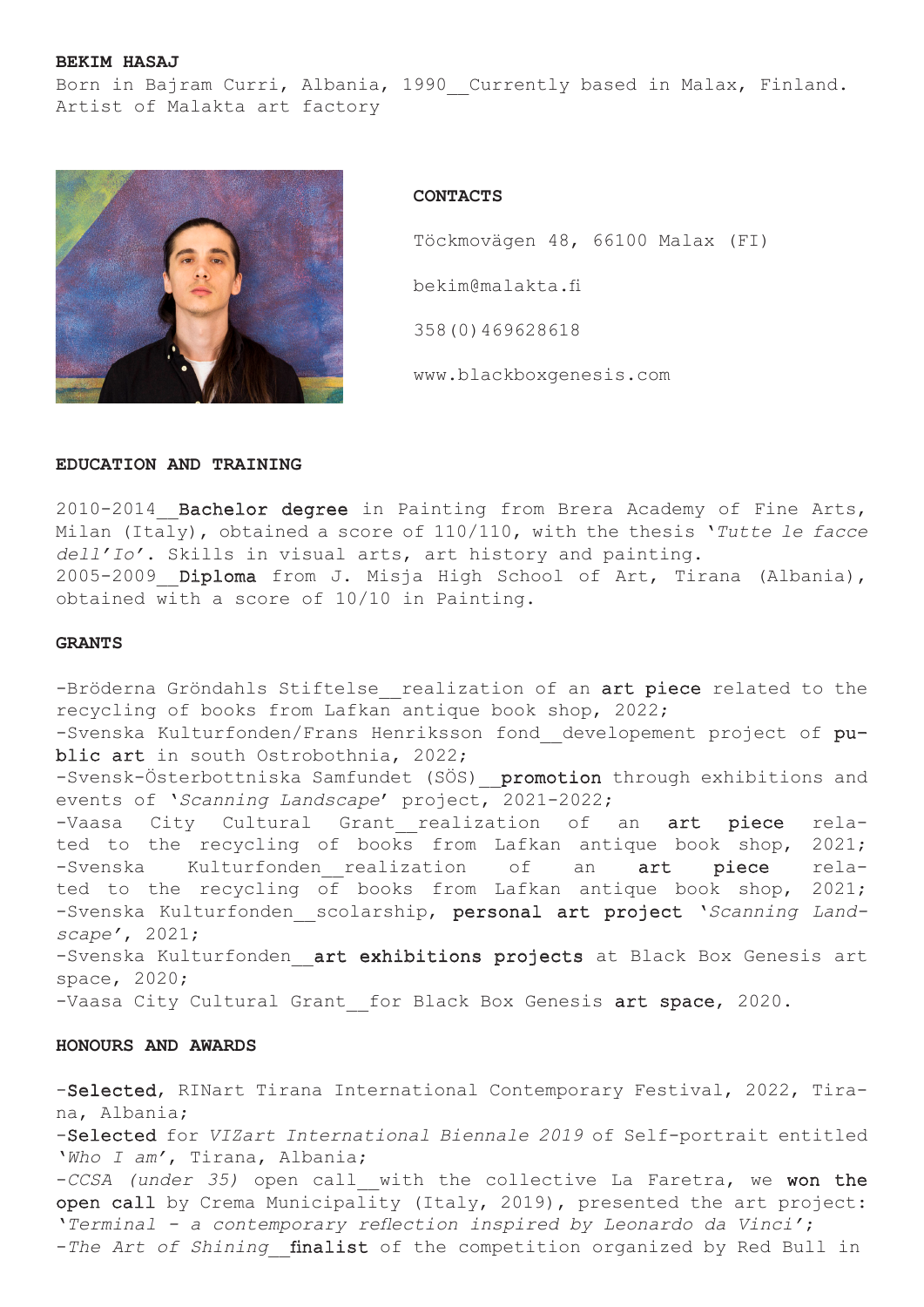# **BEKIM HASAJ**

Born in Bajram Curri, Albania, 1990 Currently based in Malax, Finland. Artist of Malakta art factory



**CONTACTS**

 Töckmovägen 48, 66100 Malax (FI) bekim@malakta.fi 358(0)469628618 www.blackboxgenesis.com

# **EDUCATION AND TRAINING**

2010-2014\_\_Bachelor degree in Painting from Brera Academy of Fine Arts, Milan (Italy), obtained a score of 110/110, with the thesis '*Tutte le facce dell'Io'*. Skills in visual arts, art history and painting. 2005-2009 Diploma from J. Misja High School of Art, Tirana (Albania), obtained with a score of 10/10 in Painting.

### **GRANTS**

-Bröderna Gröndahls Stiftelse realization of an art piece related to the recycling of books from Lafkan antique book shop, 2022; -Svenska Kulturfonden/Frans Henriksson fond developement project of public art in south Ostrobothnia, 2022; -Svensk-Österbottniska Samfundet (SÖS) promotion through exhibitions and events of '*Scanning Landscape*' project, 2021-2022; -Vaasa City Cultural Grant realization of an art piece related to the recycling of books from Lafkan antique book shop, 2021; -Svenska Kulturfonden realization of an art piece related to the recycling of books from Lafkan antique book shop, 2021; -Svenska Kulturfonden\_\_scolarship, personal art project '*Scanning Landscape'*, 2021; -Svenska Kulturfonden art exhibitions projects at Black Box Genesis art space, 2020; -Vaasa City Cultural Grant for Black Box Genesis art space, 2020.

# **HONOURS AND AWARDS**

-Selected, RINart Tirana International Contemporary Festival, 2022, Tirana, Albania; -Selected for *VIZart International Biennale 2019* of Self-portrait entitled '*Who I am'*, Tirana, Albania; -*CCSA (under 35)* open call\_\_with the collective La Faretra, we won the open call by Crema Municipality (Italy, 2019), presented the art project: '*Terminal - a contemporary reflection inspired by Leonardo da Vinci'*; -*The Art of Shining* finalist of the competition organized by Red Bull in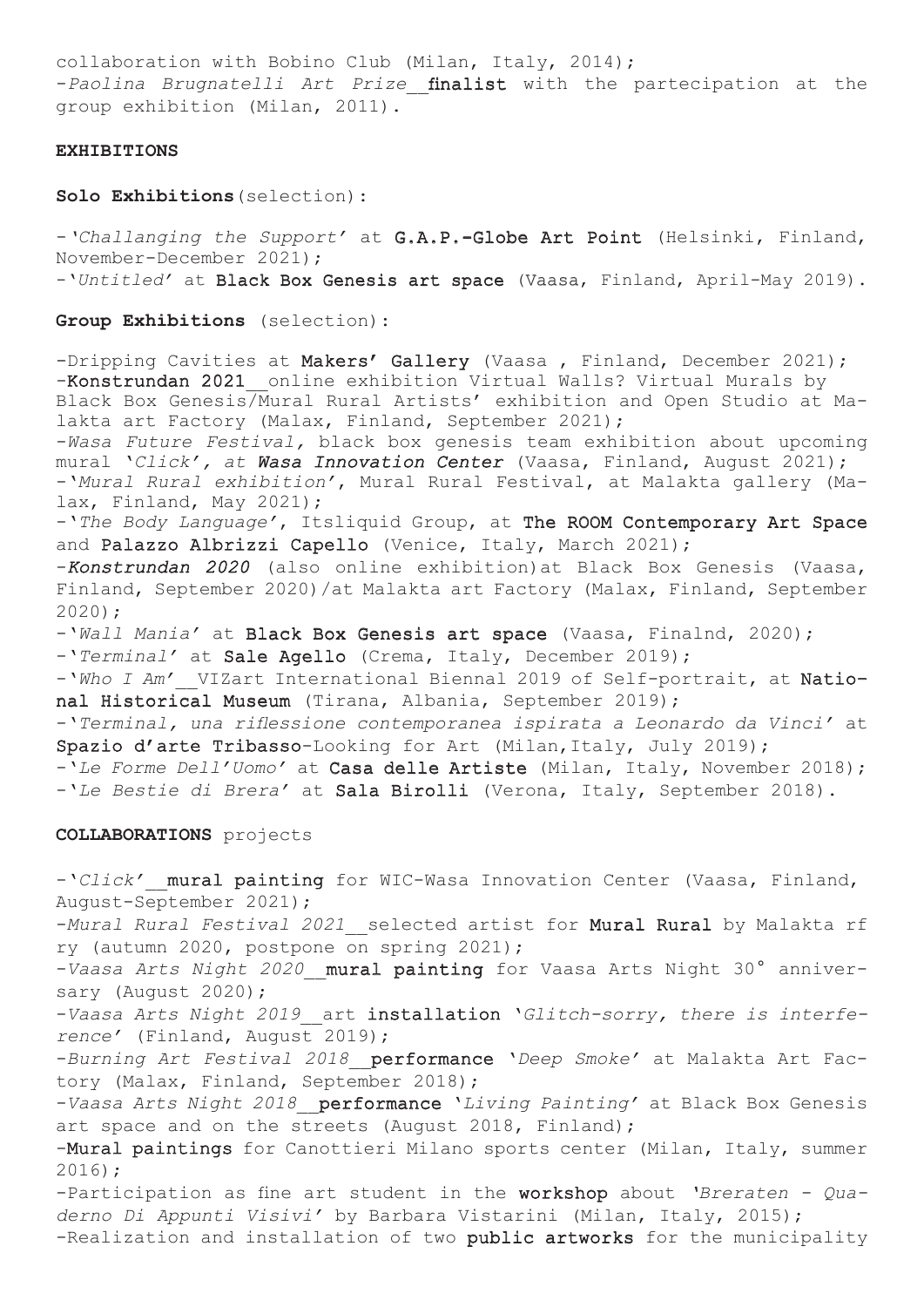collaboration with Bobino Club (Milan, Italy, 2014); -*Paolina Brugnatelli Art Prize* finalist with the partecipation at the group exhibition (Milan, 2011).

### **EXHIBITIONS**

**Solo Exhibitions**(selection):

-*'Challanging the Support'* at G.A.P.-Globe Art Point (Helsinki, Finland, November-December 2021); -'*Untitled'* at Black Box Genesis art space (Vaasa, Finland, April-May 2019).

**Group Exhibitions** (selection):

-Dripping Cavities at Makers' Gallery (Vaasa, Finland, December 2021); -Konstrundan 2021 online exhibition Virtual Walls? Virtual Murals by Black Box Genesis/Mural Rural Artists' exhibition and Open Studio at Malakta art Factory (Malax, Finland, September 2021); -*Wasa Future Festival,* black box genesis team exhibition about upcoming mural '*Click', at Wasa Innovation Center* (Vaasa, Finland, August 2021); -'*Mural Rural exhibition'*, Mural Rural Festival, at Malakta gallery (Malax, Finland, May 2021); -'*The Body Language'*, Itsliquid Group, at The ROOM Contemporary Art Space and Palazzo Albrizzi Capello (Venice, Italy, March 2021); -*Konstrundan 2020* (also online exhibition)at Black Box Genesis (Vaasa, Finland, September 2020)/at Malakta art Factory (Malax, Finland, September 2020); -'*Wall Mania'* at Black Box Genesis art space (Vaasa, Finalnd, 2020); -'*Terminal'* at Sale Agello (Crema, Italy, December 2019); -'*Who I Am'*\_\_VIZart International Biennal 2019 of Self-portrait, at National Historical Museum (Tirana, Albania, September 2019); -'*Terminal, una riflessione contemporanea ispirata a Leonardo da Vinci'* at Spazio d'arte Tribasso-Looking for Art (Milan, Italy, July 2019); -'*Le Forme Dell'Uomo'* at Casa delle Artiste (Milan, Italy, November 2018); -'*Le Bestie di Brera'* at Sala Birolli (Verona, Italy, September 2018).

**COLLABORATIONS** projects

-'*Click'*\_\_mural painting for WIC-Wasa Innovation Center (Vaasa, Finland, August-September 2021); -*Mural Rural Festival 2021* selected artist for **Mural Rural** by Malakta rf ry (autumn 2020, postpone on spring 2021); -*Vaasa Arts Night 2020*\_\_mural painting for Vaasa Arts Night 30° anniversary (August 2020); -*Vaasa Arts Night 2019*\_\_art installation '*Glitch-sorry, there is interference'* (Finland, August 2019); -*Burning Art Festival 2018*\_\_performance '*Deep Smoke'* at Malakta Art Factory (Malax, Finland, September 2018); -*Vaasa Arts Night 2018*\_\_performance '*Living Painting'* at Black Box Genesis art space and on the streets (August 2018, Finland); -Mural paintings for Canottieri Milano sports center (Milan, Italy, summer 2016); -Participation as fine art student in the workshop about *'Breraten - Quaderno Di Appunti Visivi'* by Barbara Vistarini (Milan, Italy, 2015); -Realization and installation of two public artworks for the municipality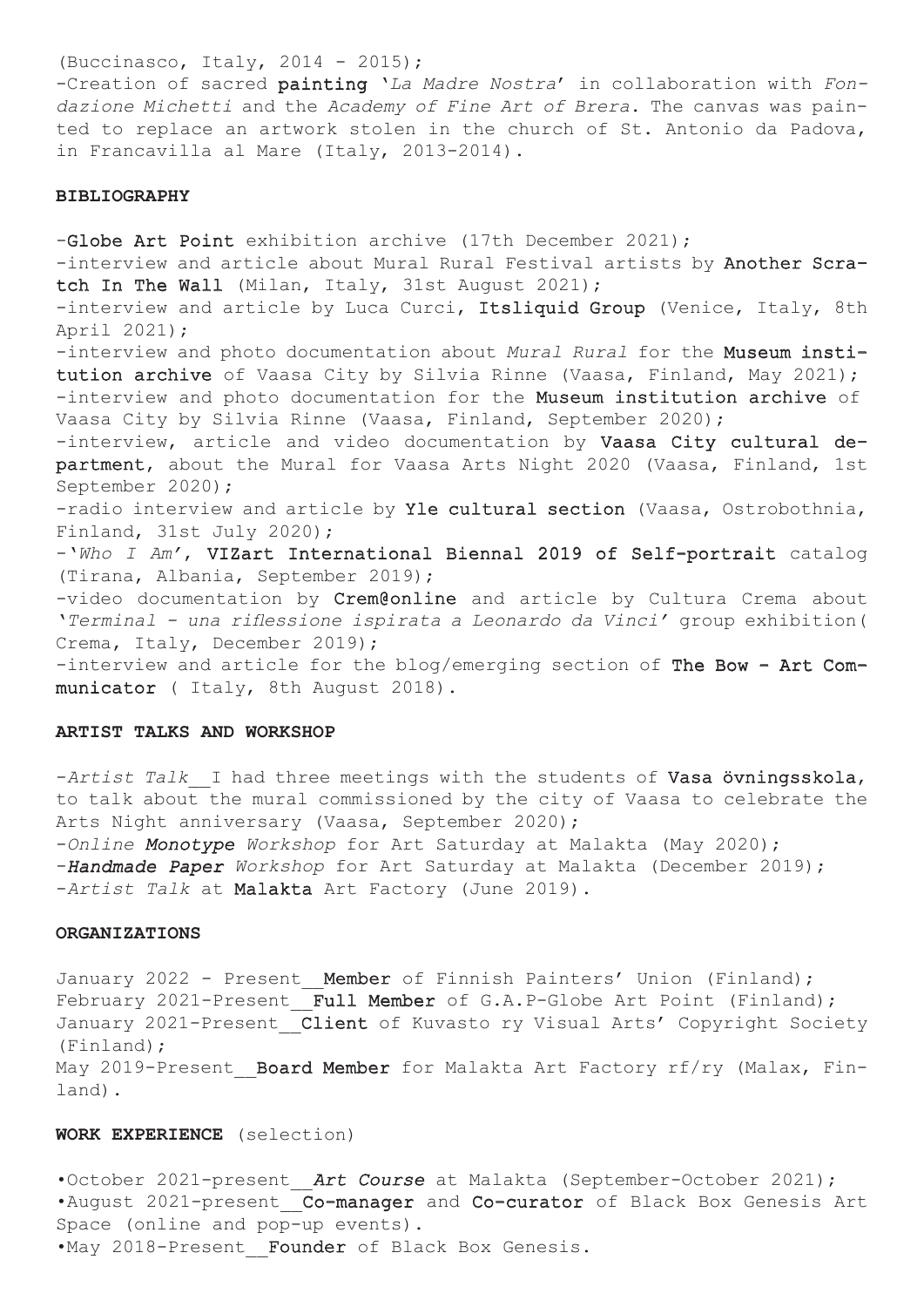(Buccinasco, Italy, 2014 - 2015); -Creation of sacred painting '*La Madre Nostra*' in collaboration with *Fondazione Michetti* and the *Academy of Fine Art of Brera*. The canvas was painted to replace an artwork stolen in the church of St. Antonio da Padova, in Francavilla al Mare (Italy, 2013-2014).

#### **BIBLIOGRAPHY**

-Globe Art Point exhibition archive (17th December 2021); -interview and article about Mural Rural Festival artists by Another Scratch In The Wall (Milan, Italy, 31st August 2021); -interview and article by Luca Curci, Itsliquid Group (Venice, Italy, 8th April 2021); -interview and photo documentation about *Mural Rural* for the Museum institution archive of Vaasa City by Silvia Rinne (Vaasa, Finland, May 2021); -interview and photo documentation for the Museum institution archive of Vaasa City by Silvia Rinne (Vaasa, Finland, September 2020); -interview, article and video documentation by Vaasa City cultural department, about the Mural for Vaasa Arts Night 2020 (Vaasa, Finland, 1st September 2020); -radio interview and article by Yle cultural section (Vaasa, Ostrobothnia, Finland, 31st July 2020); -'*Who I Am'*, VIZart International Biennal 2019 of Self-portrait catalog (Tirana, Albania, September 2019); -video documentation by Crem@online and article by Cultura Crema about '*Terminal - una riflessione ispirata a Leonardo da Vinci'* group exhibition( Crema, Italy, December 2019); -interview and article for the blog/emerging section of The Bow - Art Communicator ( Italy, 8th August 2018).

#### **ARTIST TALKS AND WORKSHOP**

-*Artist Talk* I had three meetings with the students of Vasa övningsskola, to talk about the mural commissioned by the city of Vaasa to celebrate the Arts Night anniversary (Vaasa, September 2020);

-*Online Monotype Workshop* for Art Saturday at Malakta (May 2020); -*Handmade Paper Workshop* for Art Saturday at Malakta (December 2019); -*Artist Talk* at Malakta Art Factory (June 2019).

# **ORGANIZATIONS**

January 2022 - Present Member of Finnish Painters' Union (Finland); February 2021-Present\_Full Member of G.A.P-Globe Art Point (Finland); January 2021-Present Client of Kuvasto ry Visual Arts' Copyright Society (Finland); May 2019-Present Board Member for Malakta Art Factory rf/ry (Malax, Finland).

# **WORK EXPERIENCE** (selection)

•October 2021-present\_\_*Art Course* at Malakta (September-October 2021); •August 2021-present Co-manager and Co-curator of Black Box Genesis Art Space (online and pop-up events). •May 2018-Present Founder of Black Box Genesis.